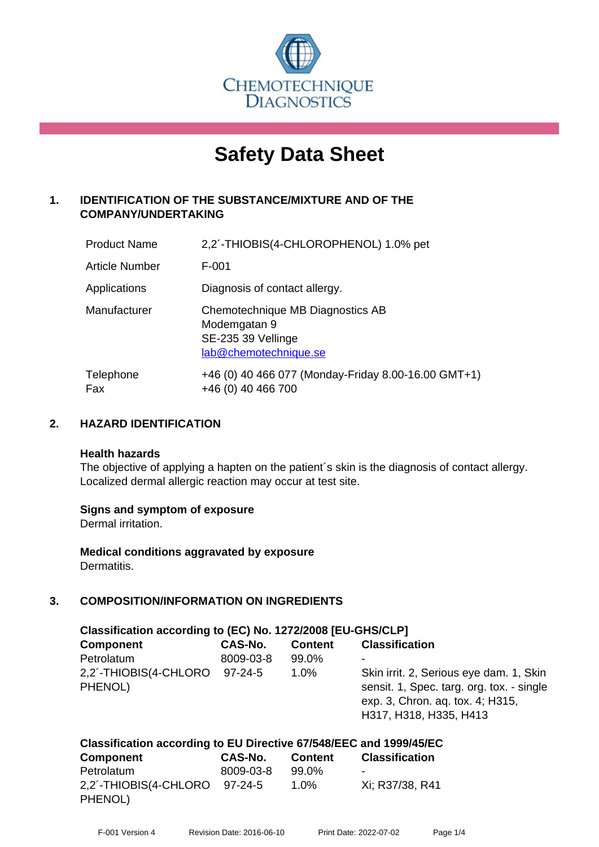

# **Safety Data Sheet**

# **1. IDENTIFICATION OF THE SUBSTANCE/MIXTURE AND OF THE COMPANY/UNDERTAKING**

| <b>Product Name</b>   | 2,2'-THIOBIS(4-CHLOROPHENOL) 1.0% pet                                                           |
|-----------------------|-------------------------------------------------------------------------------------------------|
| <b>Article Number</b> | $F-001$                                                                                         |
| Applications          | Diagnosis of contact allergy.                                                                   |
| Manufacturer          | Chemotechnique MB Diagnostics AB<br>Modemgatan 9<br>SE-235 39 Vellinge<br>lab@chemotechnique.se |
| Telephone<br>Fax      | +46 (0) 40 466 077 (Monday-Friday 8.00-16.00 GMT+1)<br>+46 (0) 40 466 700                       |

# **2. HAZARD IDENTIFICATION**

#### **Health hazards**

The objective of applying a hapten on the patient's skin is the diagnosis of contact allergy. Localized dermal allergic reaction may occur at test site.

# **Signs and symptom of exposure**

Dermal irritation.

**Medical conditions aggravated by exposure** Dermatitis.

# **3. COMPOSITION/INFORMATION ON INGREDIENTS**

| Classification according to (EC) No. 1272/2008 [EU-GHS/CLP]        |           |                |                                                                                                                                                    |  |  |
|--------------------------------------------------------------------|-----------|----------------|----------------------------------------------------------------------------------------------------------------------------------------------------|--|--|
| <b>Component</b>                                                   | CAS-No.   | <b>Content</b> | <b>Classification</b>                                                                                                                              |  |  |
| Petrolatum                                                         | 8009-03-8 | 99.0%          |                                                                                                                                                    |  |  |
| 2,2´-THIOBIS(4-CHLORO<br>PHENOL)                                   | 97-24-5   | $1.0\%$        | Skin irrit. 2, Serious eye dam. 1, Skin<br>sensit. 1, Spec. targ. org. tox. - single<br>exp. 3, Chron. aq. tox. 4; H315,<br>H317, H318, H335, H413 |  |  |
| Classification according to EU Directive 67/548/EEC and 1999/45/EC |           |                |                                                                                                                                                    |  |  |

| <b>Component</b>                         | CAS-No.   | <b>Content</b> | <b>Classification</b>    |
|------------------------------------------|-----------|----------------|--------------------------|
| Petrolatum                               | 8009-03-8 | 99.0%          | $\overline{\phantom{0}}$ |
| 2,2'-THIOBIS(4-CHLORO 97-24-5<br>PHENOL) |           | $1.0\%$        | Xi: R37/38, R41          |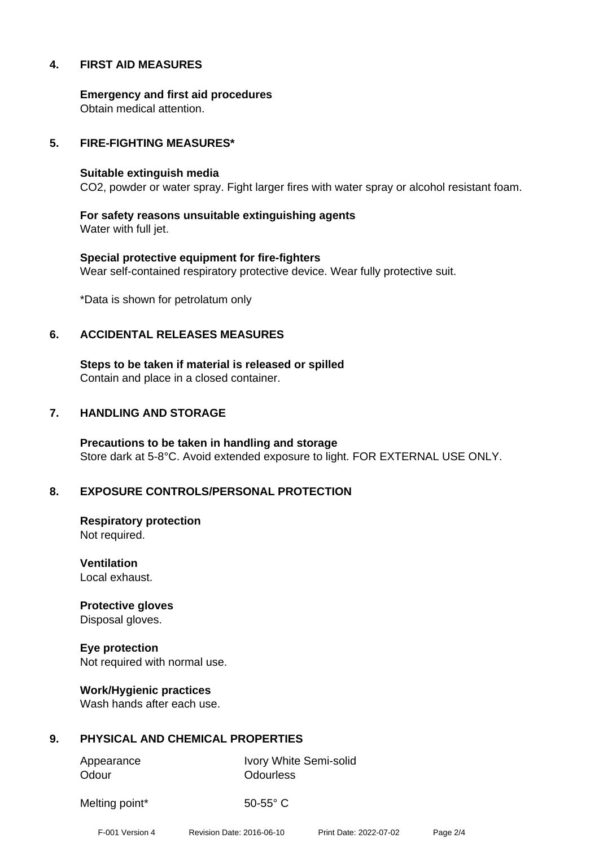# **4. FIRST AID MEASURES**

**Emergency and first aid procedures** Obtain medical attention.

#### **5. FIRE-FIGHTING MEASURES\***

#### **Suitable extinguish media**

CO2, powder or water spray. Fight larger fires with water spray or alcohol resistant foam.

**For safety reasons unsuitable extinguishing agents** Water with full jet.

**Special protective equipment for fire-fighters** Wear self-contained respiratory protective device. Wear fully protective suit.

\*Data is shown for petrolatum only

#### **6. ACCIDENTAL RELEASES MEASURES**

**Steps to be taken if material is released or spilled** Contain and place in a closed container.

#### **7. HANDLING AND STORAGE**

**Precautions to be taken in handling and storage** Store dark at 5-8°C. Avoid extended exposure to light. FOR EXTERNAL USE ONLY.

# **8. EXPOSURE CONTROLS/PERSONAL PROTECTION**

**Respiratory protection** Not required.

**Ventilation** Local exhaust.

**Protective gloves** Disposal gloves.

**Eye protection** Not required with normal use.

**Work/Hygienic practices** Wash hands after each use.

# **9. PHYSICAL AND CHEMICAL PROPERTIES**

Odour **Odourless** 

Appearance Ivory White Semi-solid

Melting point\* 50-55° C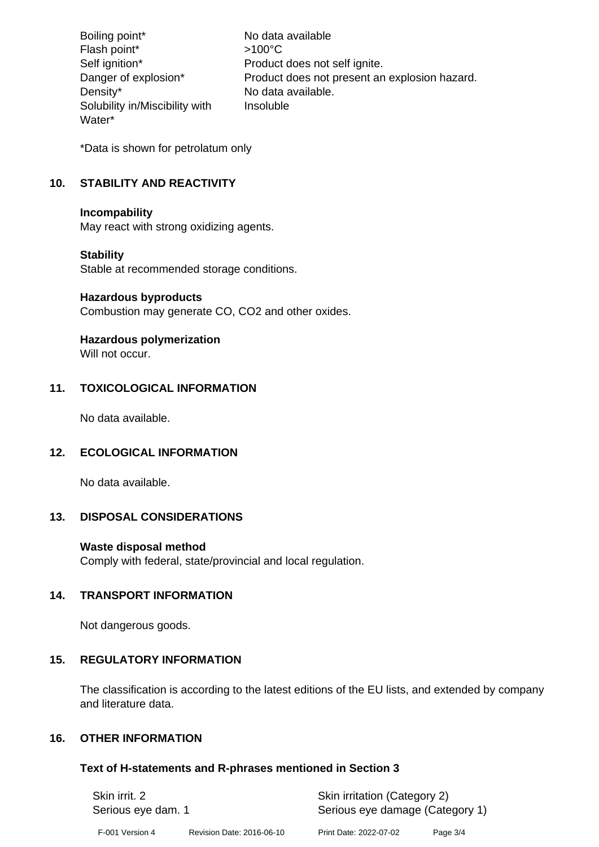Boiling point\* No data available Flash point\*  $>100^{\circ}$ C Self ignition\* Product does not self ignite. Danger of explosion\* Product does not present an explosion hazard. Density\* No data available. Solubility in/Miscibility with Water\* Insoluble

\*Data is shown for petrolatum only

# **10. STABILITY AND REACTIVITY**

#### **Incompability**

May react with strong oxidizing agents.

# **Stability**

Stable at recommended storage conditions.

#### **Hazardous byproducts**

Combustion may generate CO, CO2 and other oxides.

# **Hazardous polymerization**

Will not occur.

# **11. TOXICOLOGICAL INFORMATION**

No data available.

# **12. ECOLOGICAL INFORMATION**

No data available.

# **13. DISPOSAL CONSIDERATIONS**

# **Waste disposal method**

Comply with federal, state/provincial and local regulation.

# **14. TRANSPORT INFORMATION**

Not dangerous goods.

# **15. REGULATORY INFORMATION**

The classification is according to the latest editions of the EU lists, and extended by company and literature data.

# **16. OTHER INFORMATION**

# **Text of H-statements and R-phrases mentioned in Section 3**

| Skin irrit. 2      |                           | Skin irritation (Category 2)    |          |
|--------------------|---------------------------|---------------------------------|----------|
| Serious eye dam. 1 |                           | Serious eye damage (Category 1) |          |
| F-001 Version 4    | Revision Date: 2016-06-10 | Print Date: 2022-07-02          | Page 3/4 |